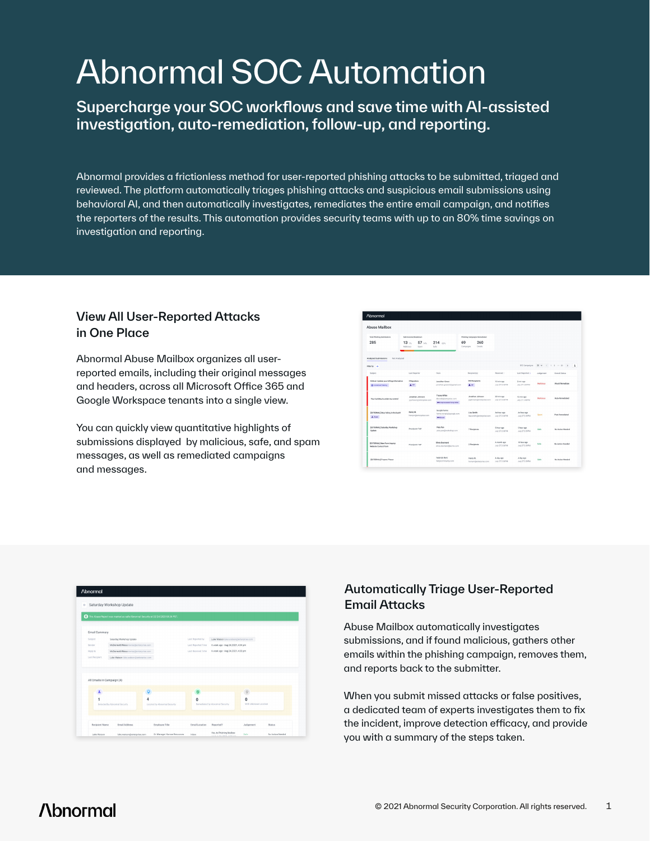# Abnormal SOC Automation

Supercharge your SOC workflows and save time with AI-assisted investigation, auto-remediation, follow-up, and reporting.

Abnormal provides a frictionless method for user-reported phishing attacks to be submitted, triaged and reviewed. The platform automatically triages phishing attacks and suspicious email submissions using behavioral AI, and then automatically investigates, remediates the entire email campaign, and notifies the reporters of the results. This automation provides security teams with up to an 80% time savings on investigation and reporting.

#### View All User-Reported Attacks in One Place

Abnormal Abuse Mailbox organizes all userreported emails, including their original messages and headers, across all Microsoft Office 365 and Google Workspace tenants into a single view.

You can quickly view quantitative highlights of submissions displayed by malicious, safe, and spam messages, as well as remediated campaigns and messages.

| <b>Abnormal</b>                                                     |                                            |                                                                        |                                              |                                |                                |             |                                                           |  |
|---------------------------------------------------------------------|--------------------------------------------|------------------------------------------------------------------------|----------------------------------------------|--------------------------------|--------------------------------|-------------|-----------------------------------------------------------|--|
| <b>Abuse Mailbox</b>                                                |                                            |                                                                        |                                              |                                |                                |             |                                                           |  |
| Tutal Phishing Submissions<br>Submissions Breakdown                 |                                            | Philosophy Campaigns Remediated                                        |                                              |                                |                                |             |                                                           |  |
| 285                                                                 | 57<br>$13 -$<br>Malicious<br>Spam.         | $214$ $\mu$<br><b>Suite</b>                                            | 260<br>69<br>Compoigns<br><b>Crucia</b>      |                                |                                |             |                                                           |  |
| <b>Analyzed Submissions</b><br>Not Analyzed                         |                                            |                                                                        |                                              |                                | 892 Campaigns                  |             | $22$ $\times$ $6$ $1$ $2$ $\times$ $22$ $\times$<br>$\pm$ |  |
| Filter by +<br>Subject                                              | <b>Last Reporter</b>                       | From                                                                   | Recipient(s)                                 | <b>Becaused 1</b>              | Last Reported &                | Jadgement   | Overall Status                                            |  |
| Office! Undate your billing information<br><b>C</b> Determining     | 3 Reporters<br><b>LW</b>                   | Jonathan Green<br>jonathan.greenv2@gmail.com                           | 293 Recipients<br>1 we                       | 10 min ann<br>July 27 3 467 M  | 2 min ann<br>July 27 3 54FM    | Malininus   | <b>Vincid Remediate</b>                                   |  |
| Your building is under my control                                   | Jonathan Johnson<br>ioishmonitemeratae.com | Tracey White<br>donodo@entapése.com<br><b>WE Incommend Party Other</b> | Jonathan Johnson<br>jojshneon@erterprise.com | 20 min ago<br>July 27 3:36 FM  | 12 min soo<br>July 27 3:44PM   | Malicipas   | Auto-Remediated                                           |  |
| (EXTERNAL) Stop hiding in the bush!<br>A form                       | Henry M.<br>henrym@enterprise.com          | Google Forms<br>forms eprephilippogle.com<br><b>OP least</b>           | Lisa Smith<br>Isa.smith@enterprise.com       | An hour ago<br>July 27 3 067 M | An hour ago<br>July 27 2 31 FM | Spens       | Post Remediated                                           |  |
| (EXTERNAL) Saturday Workshop<br><b>Undate</b>                       | Proofpoint TAP                             | Peta Pan<br>peta pandiworkshop.com                                     | 7 Recipients                                 | 5 hour ago<br>July 27 2 367 M  | 5 hour ago<br>July 27 2 31 PM  | Safe        | No Aution Needed                                          |  |
| <b>SECTEFINAL New Form Inquire:</b><br><b>Website Contact Exces</b> | Proofpoint TAP                             | Olivia Desmand<br>phia desmondilisome.com                              | 2 Recipients                                 | A month ago<br>July 27 2:36 FM | 10 hour ago<br>July 27 2:35 FM | <b>Kuda</b> | No Artico Needed                                          |  |
| <b>IDCTERNAL</b> Provers Please                                     |                                            | Federick Kent<br>fed@community.com                                     | Henry M.<br>hennyndjentesyise.com            | A day son<br>July 27 2:36 FM   | A day son<br>July 27 2:35 FM   | Sale        | No Action Needed                                          |  |

|                            | This Abuse Report was marked as safe Abnormal Security at 02/24/2020 04:34 PST. |                              |                    |                                        |                       |  |
|----------------------------|---------------------------------------------------------------------------------|------------------------------|--------------------|----------------------------------------|-----------------------|--|
|                            |                                                                                 |                              |                    |                                        |                       |  |
| Email Summary<br>Subject   | Saturday Workshop Update                                                        |                              | Last Reported by   | Luke Watson luke watson@enterprise.com |                       |  |
| Sandar                     | McDermott Wiese mwise@enterprise.com                                            |                              | Last Reported Time | A week ago - Aug 24, 2021, 4:34 pm     |                       |  |
| Reply to                   | McDermott Wiese mwise@enterprise.com                                            |                              | Last Received Time | A week ago - Aug 24, 2021, 4:33 pm     |                       |  |
| Last Recipient             | Luke Watson luke, watson@enterprise.com                                         |                              |                    |                                        |                       |  |
|                            |                                                                                 |                              |                    |                                        |                       |  |
| All Emails in Campaign (4) |                                                                                 |                              |                    |                                        |                       |  |
|                            |                                                                                 |                              |                    |                                        |                       |  |
|                            |                                                                                 | 4                            | 0                  |                                        | n                     |  |
|                            | Detected by Abnormal Security                                                   | Located by Abnormal Security |                    | Remediated by Abnormal Security        | With Unknown Location |  |

#### Automatically Triage User-Reported Email Attacks

Abuse Mailbox automatically investigates submissions, and if found malicious, gathers other emails within the phishing campaign, removes them, and reports back to the submitter.

When you submit missed attacks or false positives, a dedicated team of experts investigates them to fix the incident, improve detection efficacy, and provide you with a summary of the steps taken.

## **/\bnormal**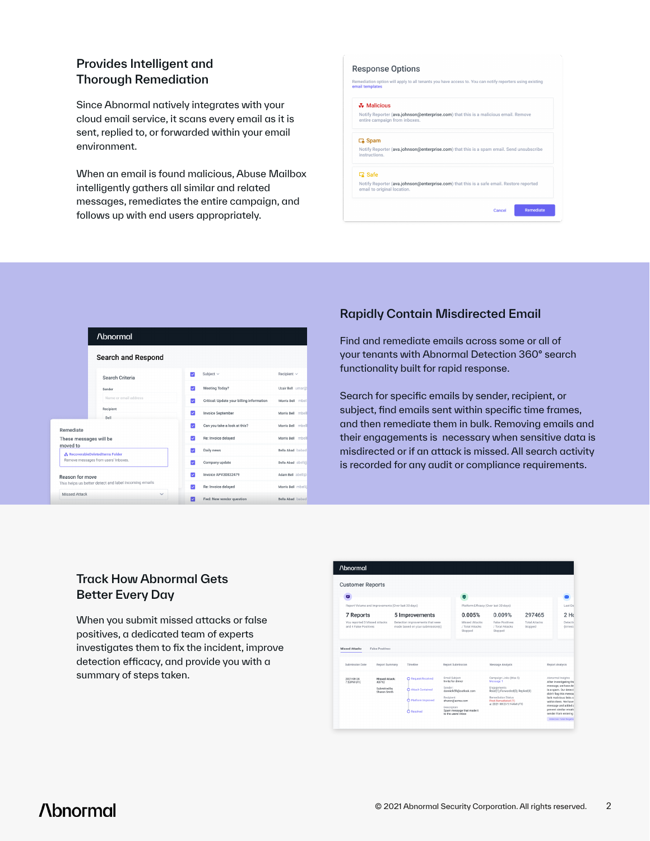#### Provides Intelligent and Thorough Remediation

Since Abnormal natively integrates with your cloud email service, it scans every email as it is sent, replied to, or forwarded within your email environment.

When an email is found malicious, Abuse Mailbox intelligently gathers all similar and related messages, remediates the entire campaign, and follows up with end users appropriately.

#### **Response Options** .<br>Remediation option will apply to all tenants you have access to. You can notify reporters using existing<br>email templates **& Malicious C**<sub>o</sub> Spam Notify Reporter (ava.johnson@enterprise.com) that this is a spam email. Send unsubscribe instructions **G** Safe Notify Reporter (ava.johnson@enterprise.com) that this is a safe email. Restore reported email to original lo Remediate



#### Rapidly Contain Misdirected Email

Find and remediate emails across some or all of your tenants with Abnormal Detection 360° search functionality built for rapid response.

Search for specific emails by sender, recipient, or subject, find emails sent within specific time frames, and then remediate them in bulk. Removing emails and their engagements is necessary when sensitive data is misdirected or if an attack is missed. All search activity is recorded for any audit or compliance requirements.

#### Track How Abnormal Gets Better Every Day

When you submit missed attacks or false positives, a dedicated team of experts investigates them to fix the incident, improve detection efficacy, and provide you with a summary of steps taken.

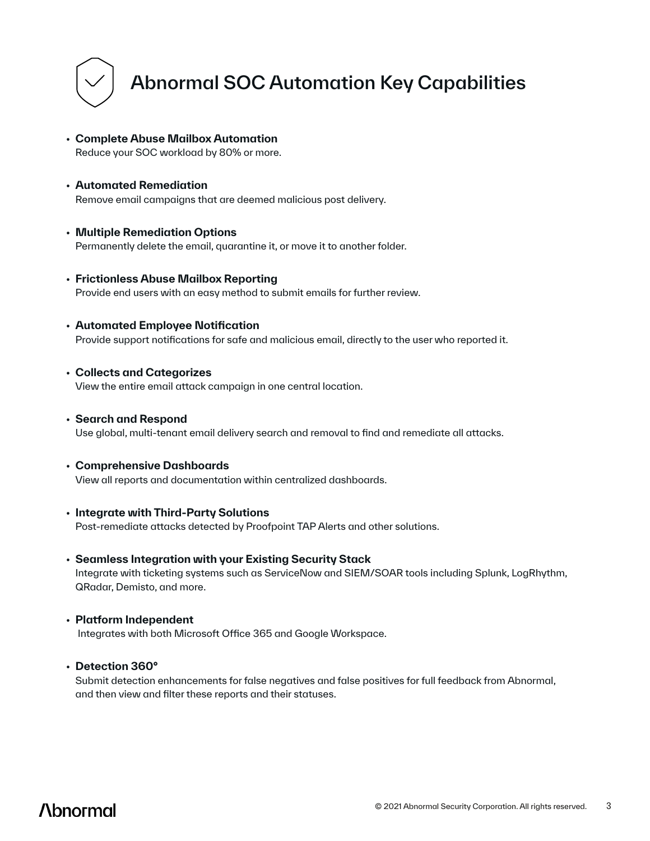

## Abnormal SOC Automation Key Capabilities

- **Complete Abuse Mailbox Automation**  Reduce your SOC workload by 80% or more.
- **Automated Remediation** Remove email campaigns that are deemed malicious post delivery.
- **Multiple Remediation Options**  Permanently delete the email, quarantine it, or move it to another folder.
- **Frictionless Abuse Mailbox Reporting**  Provide end users with an easy method to submit emails for further review.
- **Automated Employee Notification** Provide support notifications for safe and malicious email, directly to the user who reported it.
- **Collects and Categorizes** View the entire email attack campaign in one central location.
- **Search and Respond** Use global, multi-tenant email delivery search and removal to find and remediate all attacks.
- **Comprehensive Dashboards** View all reports and documentation within centralized dashboards.
- **Integrate with Third-Party Solutions** Post-remediate attacks detected by Proofpoint TAP Alerts and other solutions.
- **Seamless Integration with your Existing Security Stack** Integrate with ticketing systems such as ServiceNow and SIEM/SOAR tools including Splunk, LogRhythm, QRadar, Demisto, and more.
- **Platform Independent** Integrates with both Microsoft Office 365 and Google Workspace.
- **Detection 360°**

Submit detection enhancements for false negatives and false positives for full feedback from Abnormal, and then view and filter these reports and their statuses.

**Abnormal**